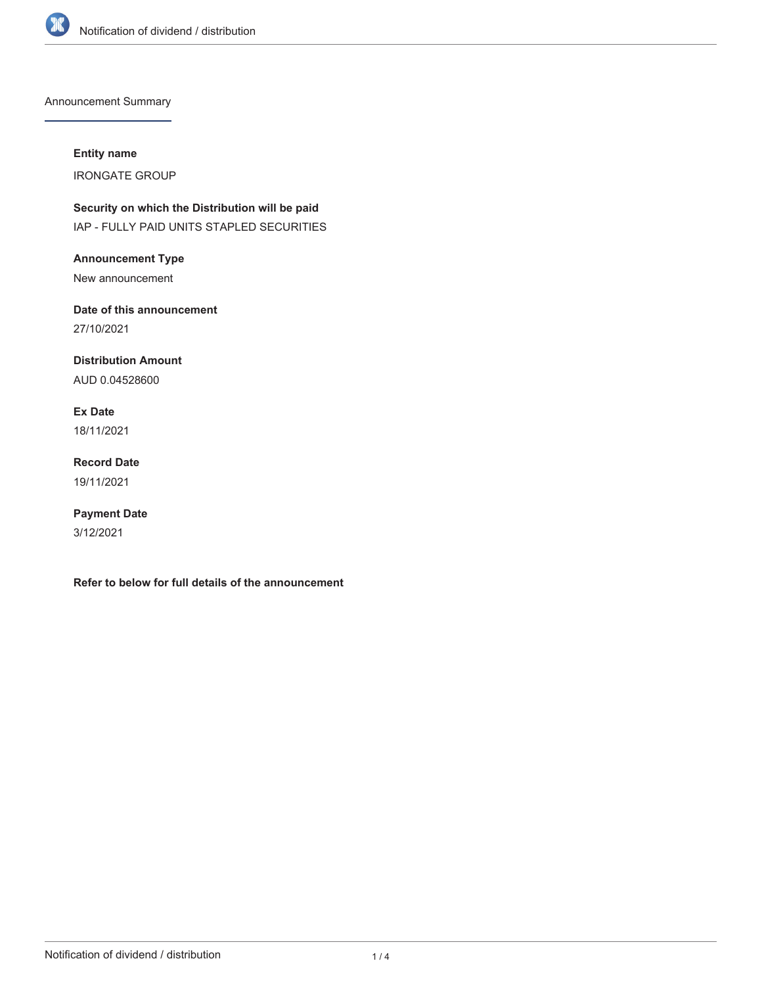

Announcement Summary

# **Entity name**

IRONGATE GROUP

**Security on which the Distribution will be paid** IAP - FULLY PAID UNITS STAPLED SECURITIES

**Announcement Type** New announcement

**Date of this announcement** 27/10/2021

**Distribution Amount** AUD 0.04528600

**Ex Date** 18/11/2021

**Record Date** 19/11/2021

**Payment Date** 3/12/2021

**Refer to below for full details of the announcement**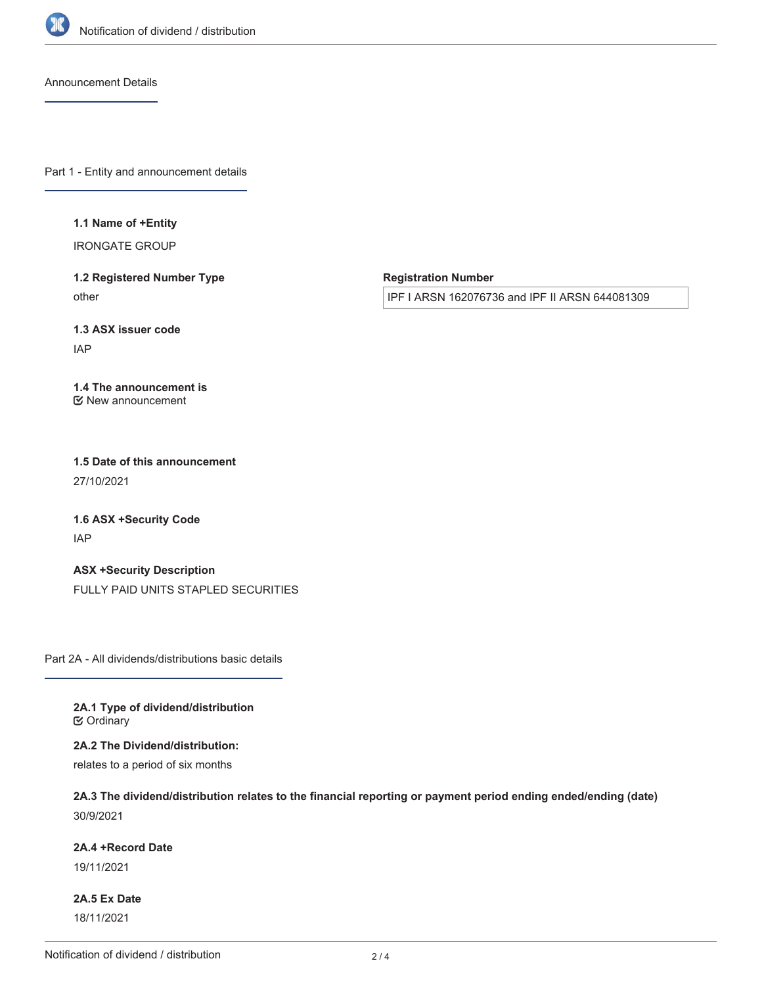

Announcement Details

Part 1 - Entity and announcement details

#### **1.1 Name of +Entity**

IRONGATE GROUP

**1.2 Registered Number Type** other

**Registration Number**

IPF I ARSN 162076736 and IPF II ARSN 644081309

**1.3 ASX issuer code**

IAP

### **1.4 The announcement is** New announcement

**1.5 Date of this announcement** 27/10/2021

**1.6 ASX +Security Code** IAP

**ASX +Security Description** FULLY PAID UNITS STAPLED SECURITIES

Part 2A - All dividends/distributions basic details

**2A.1 Type of dividend/distribution**  $C$  Ordinary

**2A.2 The Dividend/distribution:**

relates to a period of six months

**2A.3 The dividend/distribution relates to the financial reporting or payment period ending ended/ending (date)** 30/9/2021

## **2A.4 +Record Date**

19/11/2021

**2A.5 Ex Date** 18/11/2021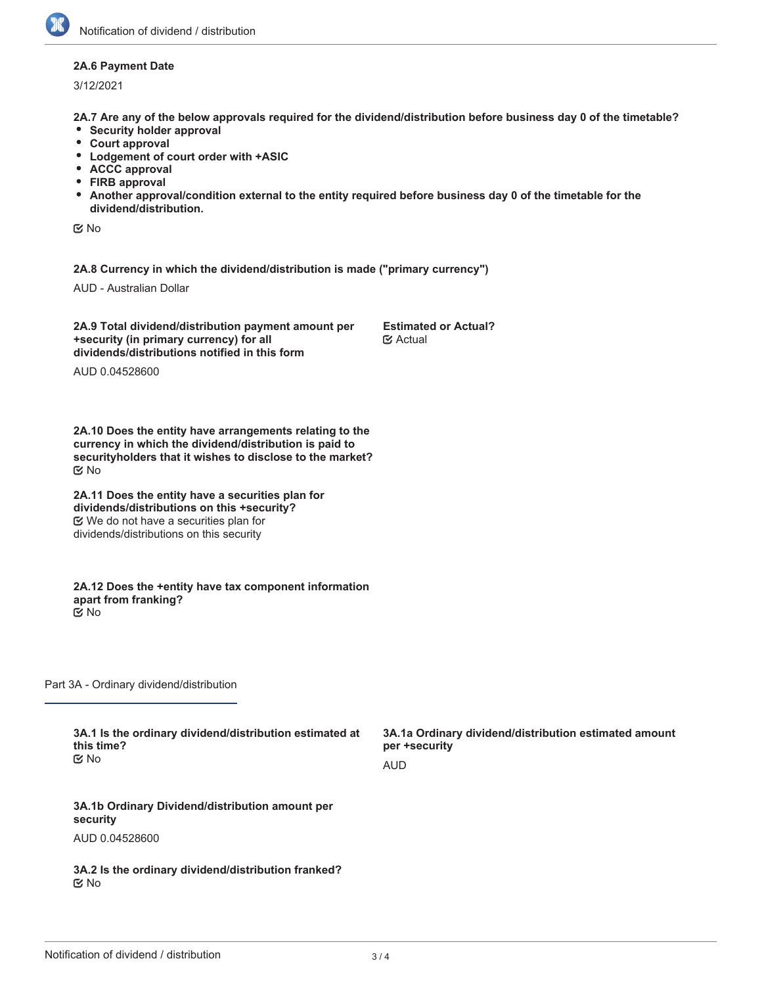## **2A.6 Payment Date**

3/12/2021

**2A.7 Are any of the below approvals required for the dividend/distribution before business day 0 of the timetable?**

- **•** Security holder approval
- **Court approval**
- **Lodgement of court order with +ASIC**
- **ACCC approval**
- **FIRB approval**
- **Another approval/condition external to the entity required before business day 0 of the timetable for the dividend/distribution.**

No

**2A.8 Currency in which the dividend/distribution is made ("primary currency")**

AUD - Australian Dollar

**2A.9 Total dividend/distribution payment amount per +security (in primary currency) for all dividends/distributions notified in this form**

**Estimated or Actual? E**⁄ Actual

AUD 0.04528600

**2A.10 Does the entity have arrangements relating to the currency in which the dividend/distribution is paid to securityholders that it wishes to disclose to the market?** No

**2A.11 Does the entity have a securities plan for dividends/distributions on this +security?** We do not have a securities plan for dividends/distributions on this security

**2A.12 Does the +entity have tax component information apart from franking?** No

Part 3A - Ordinary dividend/distribution

**3A.1 Is the ordinary dividend/distribution estimated at this time?** No

**3A.1a Ordinary dividend/distribution estimated amount per +security** AUD

**3A.1b Ordinary Dividend/distribution amount per security** AUD 0.04528600

**3A.2 Is the ordinary dividend/distribution franked?** No